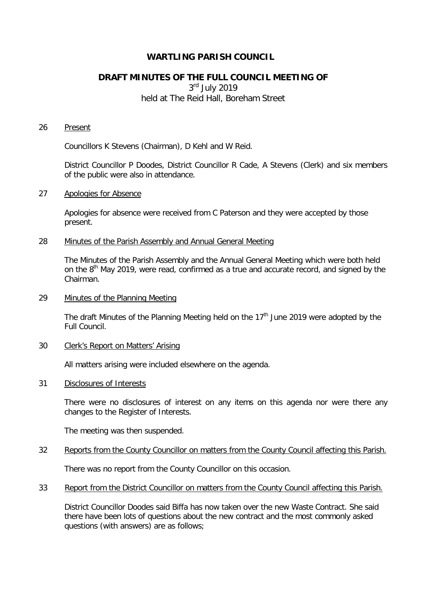## **WARTLING PARISH COUNCIL**

# **DRAFT MINUTES OF THE FULL COUNCIL MEETING OF**

3rd July 2019 held at The Reid Hall, Boreham Street

#### 26 Present

Councillors K Stevens (Chairman), D Kehl and W Reid.

District Councillor P Doodes, District Councillor R Cade, A Stevens (Clerk) and six members of the public were also in attendance.

#### 27 Apologies for Absence

Apologies for absence were received from C Paterson and they were accepted by those present.

### 28 Minutes of the Parish Assembly and Annual General Meeting

The Minutes of the Parish Assembly and the Annual General Meeting which were both held on the 8<sup>th</sup> May 2019, were read, confirmed as a true and accurate record, and signed by the Chairman.

29 Minutes of the Planning Meeting

The draft Minutes of the Planning Meeting held on the  $17<sup>th</sup>$  June 2019 were adopted by the Full Council.

30 Clerk's Report on Matters' Arising

All matters arising were included elsewhere on the agenda.

#### 31 Disclosures of Interests

There were no disclosures of interest on any items on this agenda nor were there any changes to the Register of Interests.

The meeting was then suspended.

32 Reports from the County Councillor on matters from the County Council affecting this Parish.

There was no report from the County Councillor on this occasion.

33 Report from the District Councillor on matters from the County Council affecting this Parish.

District Councillor Doodes said Biffa has now taken over the new Waste Contract. She said there have been lots of questions about the new contract and the most commonly asked questions (with answers) are as follows;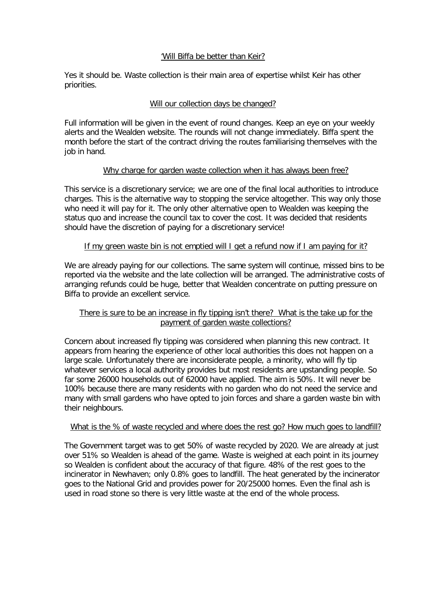### 'Will Biffa be better than Keir?

Yes it should be. Waste collection is their main area of expertise whilst Keir has other priorities.

## Will our collection days be changed?

Full information will be given in the event of round changes. Keep an eye on your weekly alerts and the Wealden website. The rounds will not change immediately. Biffa spent the month before the start of the contract driving the routes familiarising themselves with the job in hand.

### Why charge for garden waste collection when it has always been free?

This service is a discretionary service; we are one of the final local authorities to introduce charges. This is the alternative way to stopping the service altogether. This way only those who need it will pay for it. The only other alternative open to Wealden was keeping the status quo and increase the council tax to cover the cost. It was decided that residents should have the discretion of paying for a discretionary service!

## If my green waste bin is not emptied will I get a refund now if I am paying for it?

We are already paying for our collections. The same system will continue, missed bins to be reported via the website and the late collection will be arranged. The administrative costs of arranging refunds could be huge, better that Wealden concentrate on putting pressure on Biffa to provide an excellent service.

# There is sure to be an increase in fly tipping isn't there? What is the take up for the payment of garden waste collections?

Concern about increased fly tipping was considered when planning this new contract. It appears from hearing the experience of other local authorities this does not happen on a large scale. Unfortunately there are inconsiderate people, a minority, who will fly tip whatever services a local authority provides but most residents are upstanding people. So far some 26000 households out of 62000 have applied. The aim is 50%. It will never be 100% because there are many residents with no garden who do not need the service and many with small gardens who have opted to join forces and share a garden waste bin with their neighbours.

### What is the % of waste recycled and where does the rest go? How much goes to landfill?

The Government target was to get 50% of waste recycled by 2020. We are already at just over 51% so Wealden is ahead of the game. Waste is weighed at each point in its journey so Wealden is confident about the accuracy of that figure. 48% of the rest goes to the incinerator in Newhaven; only 0.8% goes to landfill. The heat generated by the incinerator goes to the National Grid and provides power for 20/25000 homes. Even the final ash is used in road stone so there is very little waste at the end of the whole process.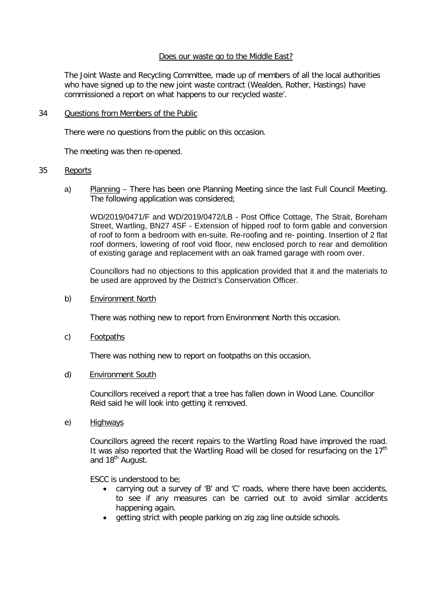### Does our waste go to the Middle East?

The Joint Waste and Recycling Committee, made up of members of all the local authorities who have signed up to the new joint waste contract (Wealden, Rother, Hastings) have commissioned a report on what happens to our recycled waste'.

### 34 Questions from Members of the Public

There were no questions from the public on this occasion.

The meeting was then re-opened.

### 35 Reports

a) Planning – There has been one Planning Meeting since the last Full Council Meeting. The following application was considered;

WD/2019/0471/F and WD/2019/0472/LB - Post Office Cottage, The Strait, Boreham Street, Wartling, BN27 4SF - Extension of hipped roof to form gable and conversion of roof to form a bedroom with en-suite. Re-roofing and re- pointing. Insertion of 2 flat roof dormers, lowering of roof void floor, new enclosed porch to rear and demolition of existing garage and replacement with an oak framed garage with room over.

Councillors had no objections to this application provided that it and the materials to be used are approved by the District's Conservation Officer.

### b) Environment North

There was nothing new to report from Environment North this occasion.

c) Footpaths

There was nothing new to report on footpaths on this occasion.

d) Environment South

Councillors received a report that a tree has fallen down in Wood Lane. Councillor Reid said he will look into getting it removed.

e) Highways

Councillors agreed the recent repairs to the Wartling Road have improved the road. It was also reported that the Wartling Road will be closed for resurfacing on the  $17<sup>th</sup>$ and 18<sup>th</sup> August.

ESCC is understood to be;

- carrying out a survey of 'B' and 'C' roads, where there have been accidents, to see if any measures can be carried out to avoid similar accidents happening again.
- getting strict with people parking on zig zag line outside schools.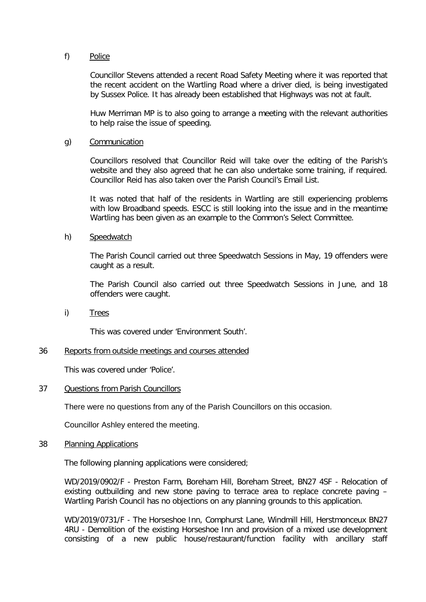### f) Police

Councillor Stevens attended a recent Road Safety Meeting where it was reported that the recent accident on the Wartling Road where a driver died, is being investigated by Sussex Police. It has already been established that Highways was not at fault.

Huw Merriman MP is to also going to arrange a meeting with the relevant authorities to help raise the issue of speeding.

### g) Communication

Councillors resolved that Councillor Reid will take over the editing of the Parish's website and they also agreed that he can also undertake some training, if required. Councillor Reid has also taken over the Parish Council's Email List.

It was noted that half of the residents in Wartling are still experiencing problems with low Broadband speeds. ESCC is still looking into the issue and in the meantime Wartling has been given as an example to the Common's Select Committee.

### h) Speedwatch

The Parish Council carried out three Speedwatch Sessions in May, 19 offenders were caught as a result.

The Parish Council also carried out three Speedwatch Sessions in June, and 18 offenders were caught.

i) Trees

This was covered under 'Environment South'.

#### 36 Reports from outside meetings and courses attended

This was covered under 'Police'.

#### 37 Questions from Parish Councillors

There were no questions from any of the Parish Councillors on this occasion.

Councillor Ashley entered the meeting.

#### 38 Planning Applications

The following planning applications were considered;

WD/2019/0902/F - Preston Farm, Boreham Hill, Boreham Street, BN27 4SF - Relocation of existing outbuilding and new stone paving to terrace area to replace concrete paving – Wartling Parish Council has no objections on any planning grounds to this application.

WD/2019/0731/F - The Horseshoe Inn, Comphurst Lane, Windmill Hill, Herstmonceux BN27 4RU - Demolition of the existing Horseshoe Inn and provision of a mixed use development consisting of a new public house/restaurant/function facility with ancillary staff